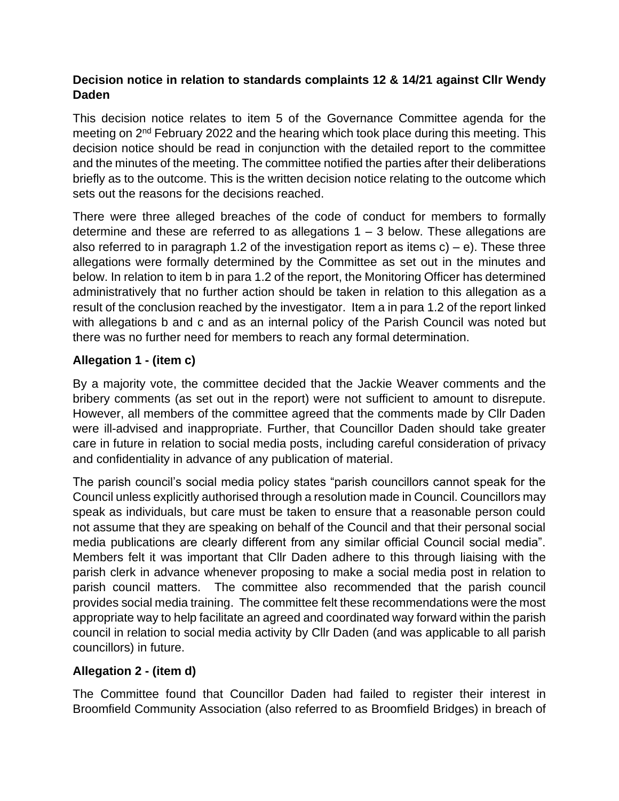## **Decision notice in relation to standards complaints 12 & 14/21 against Cllr Wendy Daden**

This decision notice relates to item 5 of the Governance Committee agenda for the meeting on 2<sup>nd</sup> February 2022 and the hearing which took place during this meeting. This decision notice should be read in conjunction with the detailed report to the committee and the minutes of the meeting. The committee notified the parties after their deliberations briefly as to the outcome. This is the written decision notice relating to the outcome which sets out the reasons for the decisions reached.

There were three alleged breaches of the code of conduct for members to formally determine and these are referred to as allegations  $1 - 3$  below. These allegations are also referred to in paragraph 1.2 of the investigation report as items  $c$ ) – e). These three allegations were formally determined by the Committee as set out in the minutes and below. In relation to item b in para 1.2 of the report, the Monitoring Officer has determined administratively that no further action should be taken in relation to this allegation as a result of the conclusion reached by the investigator. Item a in para 1.2 of the report linked with allegations b and c and as an internal policy of the Parish Council was noted but there was no further need for members to reach any formal determination.

## **Allegation 1 - (item c)**

By a majority vote, the committee decided that the Jackie Weaver comments and the bribery comments (as set out in the report) were not sufficient to amount to disrepute. However, all members of the committee agreed that the comments made by Cllr Daden were ill-advised and inappropriate. Further, that Councillor Daden should take greater care in future in relation to social media posts, including careful consideration of privacy and confidentiality in advance of any publication of material.

The parish council's social media policy states "parish councillors cannot speak for the Council unless explicitly authorised through a resolution made in Council. Councillors may speak as individuals, but care must be taken to ensure that a reasonable person could not assume that they are speaking on behalf of the Council and that their personal social media publications are clearly different from any similar official Council social media". Members felt it was important that Cllr Daden adhere to this through liaising with the parish clerk in advance whenever proposing to make a social media post in relation to parish council matters. The committee also recommended that the parish council provides social media training. The committee felt these recommendations were the most appropriate way to help facilitate an agreed and coordinated way forward within the parish council in relation to social media activity by Cllr Daden (and was applicable to all parish councillors) in future.

## **Allegation 2 - (item d)**

The Committee found that Councillor Daden had failed to register their interest in Broomfield Community Association (also referred to as Broomfield Bridges) in breach of